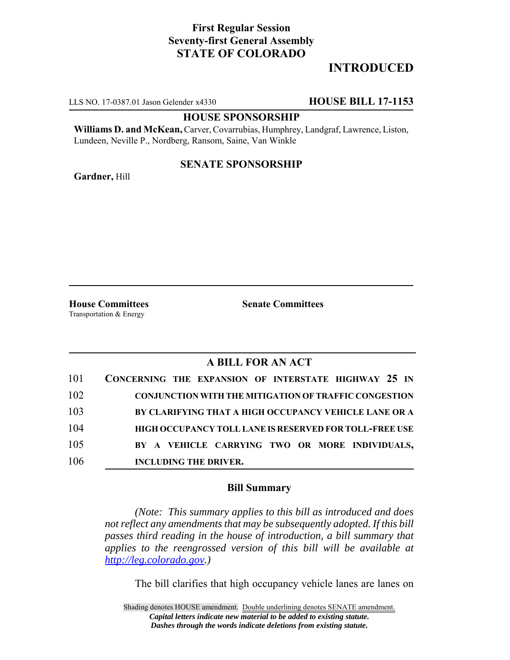# **First Regular Session Seventy-first General Assembly STATE OF COLORADO**

# **INTRODUCED**

LLS NO. 17-0387.01 Jason Gelender x4330 **HOUSE BILL 17-1153**

#### **HOUSE SPONSORSHIP**

**Williams D. and McKean,** Carver, Covarrubias, Humphrey, Landgraf, Lawrence, Liston, Lundeen, Neville P., Nordberg, Ransom, Saine, Van Winkle

### **SENATE SPONSORSHIP**

**Gardner,** Hill

Transportation & Energy

**House Committees Senate Committees**

## **A BILL FOR AN ACT**

| 101 | CONCERNING THE EXPANSION OF INTERSTATE HIGHWAY 25 IN         |
|-----|--------------------------------------------------------------|
| 102 | <b>CONJUNCTION WITH THE MITIGATION OF TRAFFIC CONGESTION</b> |
| 103 | BY CLARIFYING THAT A HIGH OCCUPANCY VEHICLE LANE OR A        |
| 104 | HIGH OCCUPANCY TOLL LANE IS RESERVED FOR TOLL-FREE USE       |
| 105 | BY A VEHICLE CARRYING TWO OR MORE INDIVIDUALS,               |
| 106 | <b>INCLUDING THE DRIVER.</b>                                 |

### **Bill Summary**

*(Note: This summary applies to this bill as introduced and does not reflect any amendments that may be subsequently adopted. If this bill passes third reading in the house of introduction, a bill summary that applies to the reengrossed version of this bill will be available at http://leg.colorado.gov.)*

The bill clarifies that high occupancy vehicle lanes are lanes on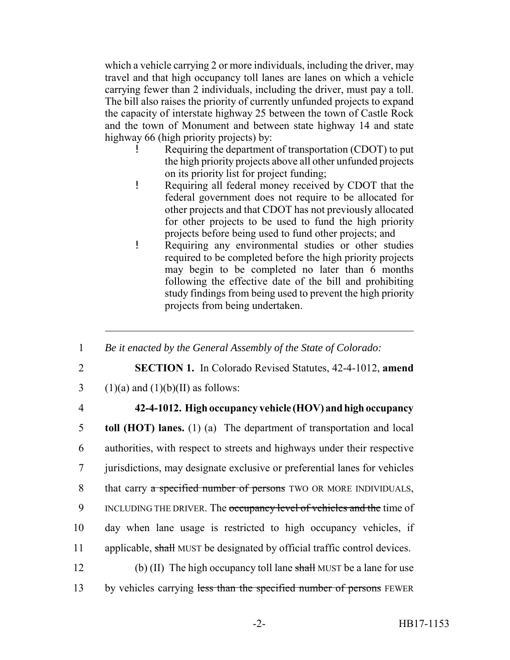which a vehicle carrying 2 or more individuals, including the driver, may travel and that high occupancy toll lanes are lanes on which a vehicle carrying fewer than 2 individuals, including the driver, must pay a toll. The bill also raises the priority of currently unfunded projects to expand the capacity of interstate highway 25 between the town of Castle Rock and the town of Monument and between state highway 14 and state highway 66 (high priority projects) by:

- Requiring the department of transportation (CDOT) to put the high priority projects above all other unfunded projects on its priority list for project funding;
- ! Requiring all federal money received by CDOT that the federal government does not require to be allocated for other projects and that CDOT has not previously allocated for other projects to be used to fund the high priority projects before being used to fund other projects; and
- ! Requiring any environmental studies or other studies required to be completed before the high priority projects may begin to be completed no later than 6 months following the effective date of the bill and prohibiting study findings from being used to prevent the high priority projects from being undertaken.
- 1 *Be it enacted by the General Assembly of the State of Colorado:*
- 
- 2 **SECTION 1.** In Colorado Revised Statutes, 42-4-1012, **amend**
- 3 (1)(a) and (1)(b)(II) as follows:
- 

## 4 **42-4-1012. High occupancy vehicle (HOV) and high occupancy**

 **toll (HOT) lanes.** (1) (a) The department of transportation and local authorities, with respect to streets and highways under their respective jurisdictions, may designate exclusive or preferential lanes for vehicles 8 that carry a specified number of persons TWO OR MORE INDIVIDUALS, 9 INCLUDING THE DRIVER. The occupancy level of vehicles and the time of day when lane usage is restricted to high occupancy vehicles, if 11 applicable, shall MUST be designated by official traffic control devices. (b) (II) The high occupancy toll lane shall MUST be a lane for use

13 by vehicles carrying less than the specified number of persons FEWER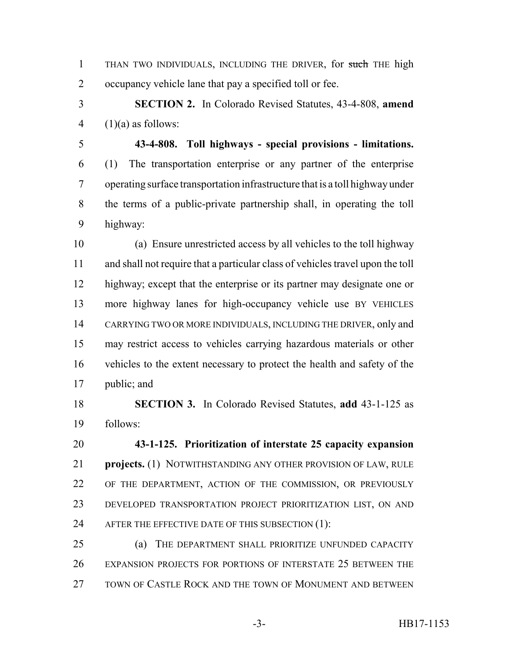1 THAN TWO INDIVIDUALS, INCLUDING THE DRIVER, for such THE high occupancy vehicle lane that pay a specified toll or fee.

 **SECTION 2.** In Colorado Revised Statutes, 43-4-808, **amend** 4  $(1)(a)$  as follows:

 **43-4-808. Toll highways - special provisions - limitations.** (1) The transportation enterprise or any partner of the enterprise operating surface transportation infrastructure that is a toll highway under the terms of a public-private partnership shall, in operating the toll highway:

 (a) Ensure unrestricted access by all vehicles to the toll highway and shall not require that a particular class of vehicles travel upon the toll highway; except that the enterprise or its partner may designate one or more highway lanes for high-occupancy vehicle use BY VEHICLES CARRYING TWO OR MORE INDIVIDUALS, INCLUDING THE DRIVER, only and may restrict access to vehicles carrying hazardous materials or other vehicles to the extent necessary to protect the health and safety of the public; and

 **SECTION 3.** In Colorado Revised Statutes, **add** 43-1-125 as follows:

 **43-1-125. Prioritization of interstate 25 capacity expansion projects.** (1) NOTWITHSTANDING ANY OTHER PROVISION OF LAW, RULE OF THE DEPARTMENT, ACTION OF THE COMMISSION, OR PREVIOUSLY DEVELOPED TRANSPORTATION PROJECT PRIORITIZATION LIST, ON AND 24 AFTER THE EFFECTIVE DATE OF THIS SUBSECTION (1):

 (a) THE DEPARTMENT SHALL PRIORITIZE UNFUNDED CAPACITY EXPANSION PROJECTS FOR PORTIONS OF INTERSTATE 25 BETWEEN THE TOWN OF CASTLE ROCK AND THE TOWN OF MONUMENT AND BETWEEN